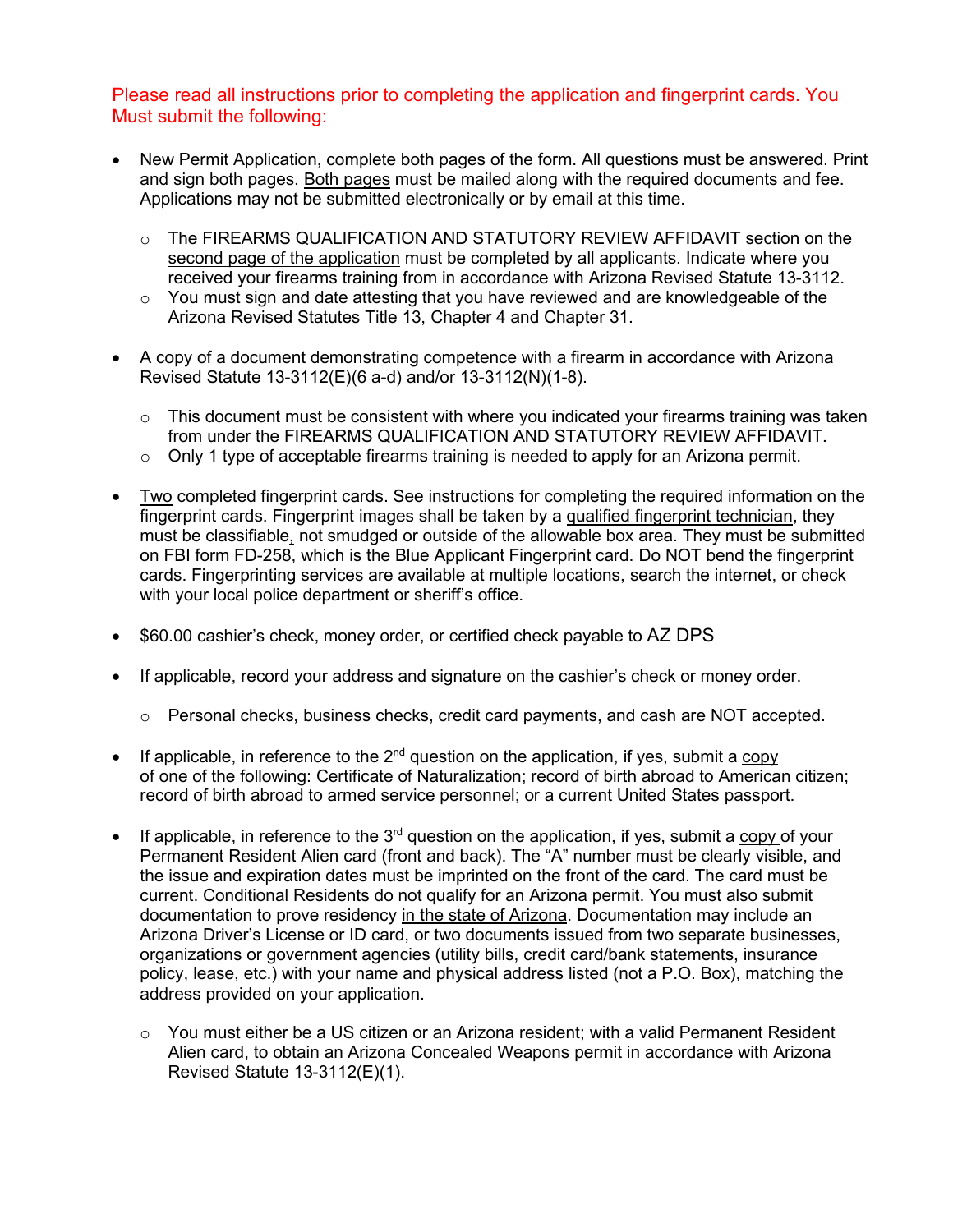#### Please read all instructions prior to completing the application and fingerprint cards. You Must submit the following:

- New Permit Application, complete both pages of the form. All questions must be answered. Print and sign both pages. Both pages must be mailed along with the required documents and fee. Applications may not be submitted electronically or by email at this time.
	- o The FIREARMS QUALIFICATION AND STATUTORY REVIEW AFFIDAVIT section on the second page of the application must be completed by all applicants. Indicate where you received your firearms training from in accordance with Arizona Revised Statute 13-3112.
	- o You must sign and date attesting that you have reviewed and are knowledgeable of the Arizona Revised Statutes Title 13, Chapter 4 and Chapter 31.
- A copy of a document demonstrating competence with a firearm in accordance with Arizona Revised Statute 13-3112(E)(6 a-d) and/or 13-3112(N)(1-8).
	- $\circ$  This document must be consistent with where you indicated your firearms training was taken from under the FIREARMS QUALIFICATION AND STATUTORY REVIEW AFFIDAVIT.
	- $\circ$  Only 1 type of acceptable firearms training is needed to apply for an Arizona permit.
- Two completed fingerprint cards. See instructions for completing the required information on the fingerprint cards. Fingerprint images shall be taken by a qualified fingerprint technician, they must be classifiable, not smudged or outside of the allowable box area. They must be submitted on FBI form FD-258, which is the Blue Applicant Fingerprint card. Do NOT bend the fingerprint cards. Fingerprinting services are available at multiple locations, search the internet, or check with your local police department or sheriff's office.
- \$60.00 cashier's check, money order, or certified check payable to AZ DPS
- If applicable, record your address and signature on the cashier's check or money order.
	- $\circ$  Personal checks, business checks, credit card payments, and cash are NOT accepted.
- If applicable, in reference to the  $2<sup>nd</sup>$  question on the application, if yes, submit a copy of one of the following: Certificate of Naturalization; record of birth abroad to American citizen; record of birth abroad to armed service personnel; or a current United States passport.
- If applicable, in reference to the  $3<sup>rd</sup>$  question on the application, if yes, submit a copy of your Permanent Resident Alien card (front and back). The "A" number must be clearly visible, and the issue and expiration dates must be imprinted on the front of the card. The card must be current. Conditional Residents do not qualify for an Arizona permit. You must also submit documentation to prove residency in the state of Arizona. Documentation may include an Arizona Driver's License or ID card, or two documents issued from two separate businesses, organizations or government agencies (utility bills, credit card/bank statements, insurance policy, lease, etc.) with your name and physical address listed (not a P.O. Box), matching the address provided on your application.
	- $\circ$  You must either be a US citizen or an Arizona resident; with a valid Permanent Resident Alien card, to obtain an Arizona Concealed Weapons permit in accordance with Arizona Revised Statute 13-3112(E)(1).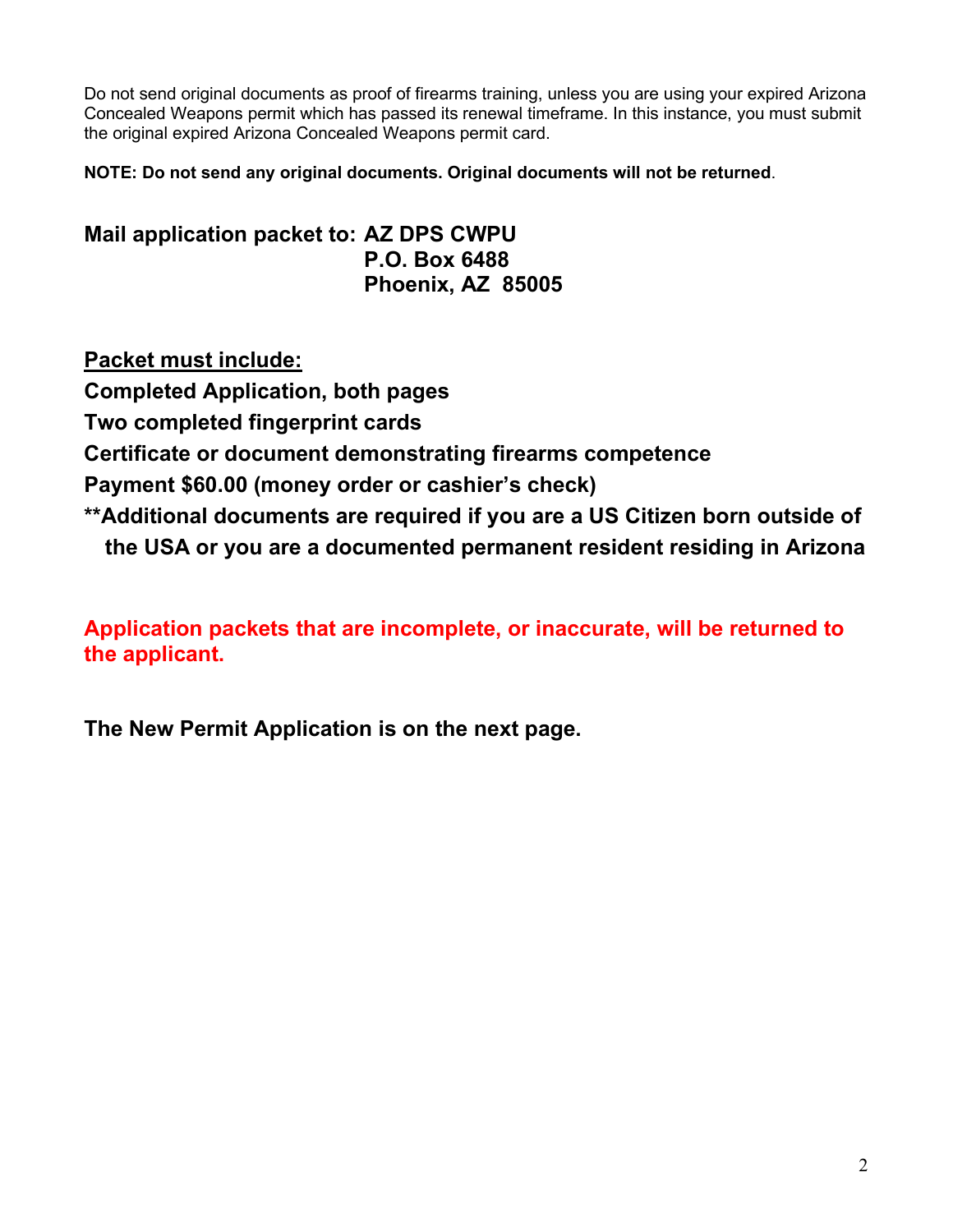Do not send original documents as proof of firearms training, unless you are using your expired Arizona Concealed Weapons permit which has passed its renewal timeframe. In this instance, you must submit the original expired Arizona Concealed Weapons permit card.

**NOTE: Do not send any original documents. Original documents will not be returned**.

**Mail application packet to: AZ DPS CWPU P.O. Box 6488 Phoenix, AZ 85005**

**Packet must include: Completed Application, both pages Two completed fingerprint cards Certificate or document demonstrating firearms competence Payment \$60.00 (money order or cashier's check) \*\*Additional documents are required if you are a US Citizen born outside of the USA or you are a documented permanent resident residing in Arizona**

**Application packets that are incomplete, or inaccurate, will be returned to the applicant.** 

**The New Permit Application is on the next page.**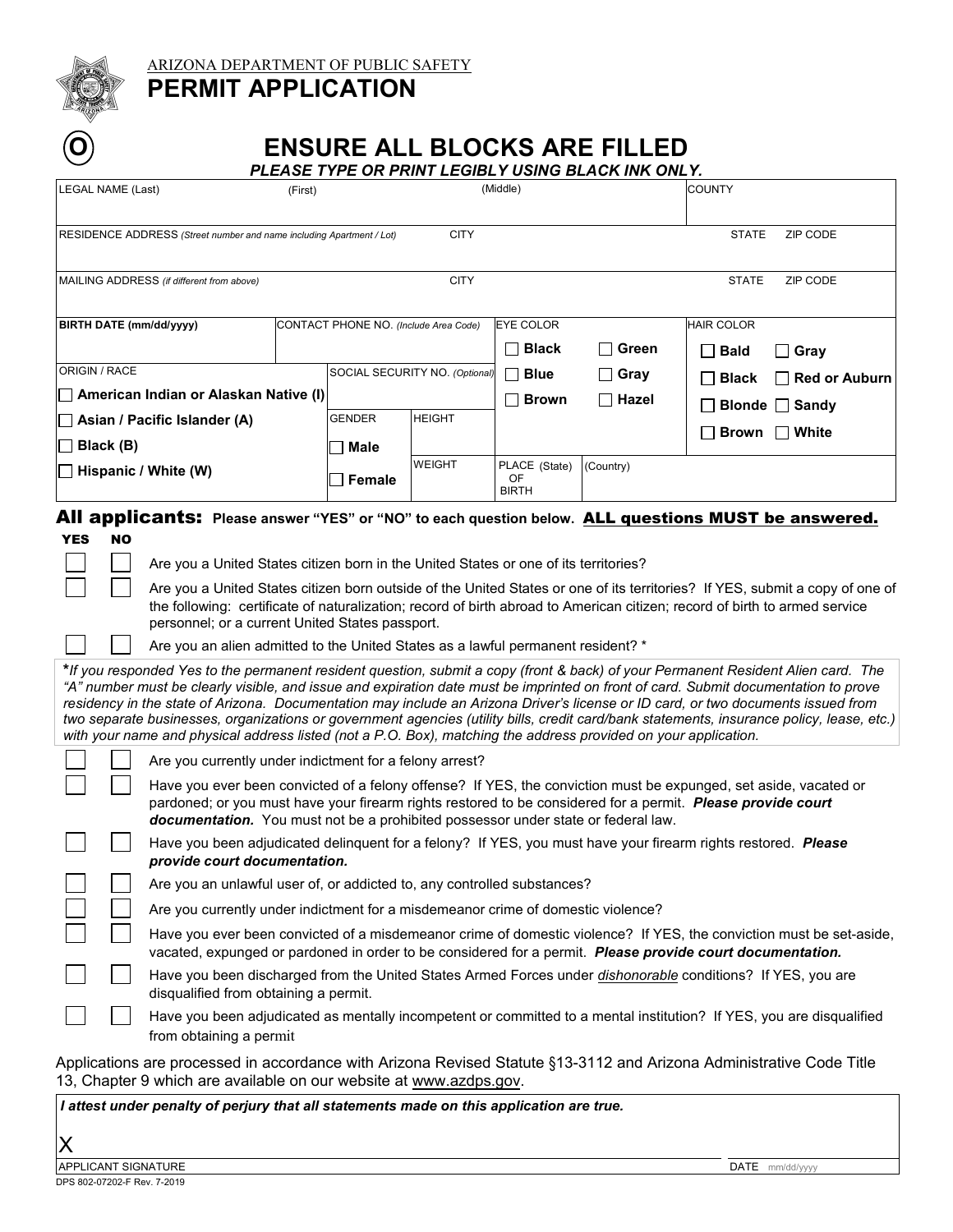

ARIZONA DEPARTMENT OF PUBLIC SAFETY

## **PERMIT APPLICATION**

# **O BISSURE ALL BLOCKS ARE FILLED**

*PLEASE TYPE OR PRINT LEGIBLY USING BLACK INK ONLY.*

| <b>LEGAL NAME (Last)</b><br>(First)                                                                                                                                                                                                                                                                                                                                                                                                                                                                                                                                                                                                                                           |                                                                                                                                                                                                                                                                                                                      | <u>FLEASE TIFE UN FRINT LEGIBLI USING BLACK INN UNLI.</u><br>(Middle) |               |                               | <b>COUNTY</b> |                   |                       |  |
|-------------------------------------------------------------------------------------------------------------------------------------------------------------------------------------------------------------------------------------------------------------------------------------------------------------------------------------------------------------------------------------------------------------------------------------------------------------------------------------------------------------------------------------------------------------------------------------------------------------------------------------------------------------------------------|----------------------------------------------------------------------------------------------------------------------------------------------------------------------------------------------------------------------------------------------------------------------------------------------------------------------|-----------------------------------------------------------------------|---------------|-------------------------------|---------------|-------------------|-----------------------|--|
| <b>CITY</b><br>RESIDENCE ADDRESS (Street number and name including Apartment / Lot)                                                                                                                                                                                                                                                                                                                                                                                                                                                                                                                                                                                           |                                                                                                                                                                                                                                                                                                                      |                                                                       |               |                               |               | <b>STATE</b>      | ZIP CODE              |  |
| <b>CITY</b><br>MAILING ADDRESS (if different from above)                                                                                                                                                                                                                                                                                                                                                                                                                                                                                                                                                                                                                      |                                                                                                                                                                                                                                                                                                                      |                                                                       |               |                               |               | <b>STATE</b>      | ZIP CODE              |  |
| BIRTH DATE (mm/dd/yyyy)                                                                                                                                                                                                                                                                                                                                                                                                                                                                                                                                                                                                                                                       |                                                                                                                                                                                                                                                                                                                      | CONTACT PHONE NO. (Include Area Code)                                 |               | <b>EYE COLOR</b>              |               | <b>HAIR COLOR</b> |                       |  |
|                                                                                                                                                                                                                                                                                                                                                                                                                                                                                                                                                                                                                                                                               |                                                                                                                                                                                                                                                                                                                      |                                                                       |               | $\square$ Black               | Green         | $\Box$ Bald       | $\square$ Gray        |  |
| ORIGIN / RACE                                                                                                                                                                                                                                                                                                                                                                                                                                                                                                                                                                                                                                                                 |                                                                                                                                                                                                                                                                                                                      | SOCIAL SECURITY NO. (Optional)                                        |               | $\Box$ Blue                   | $\Box$ Gray   | $\Box$ Black      | $\Box$ Red or Auburn  |  |
| American Indian or Alaskan Native (I)                                                                                                                                                                                                                                                                                                                                                                                                                                                                                                                                                                                                                                         |                                                                                                                                                                                                                                                                                                                      |                                                                       |               | $\Box$ Brown                  | $\Box$ Hazel  |                   | <b>Blonde □</b> Sandy |  |
| Asian / Pacific Islander (A)<br>Black (B)                                                                                                                                                                                                                                                                                                                                                                                                                                                                                                                                                                                                                                     |                                                                                                                                                                                                                                                                                                                      | GENDER                                                                | <b>HEIGHT</b> |                               |               |                   |                       |  |
|                                                                                                                                                                                                                                                                                                                                                                                                                                                                                                                                                                                                                                                                               |                                                                                                                                                                                                                                                                                                                      | Male                                                                  |               |                               |               |                   | <b>Brown</b> ΠWhite   |  |
| Hispanic / White (W)                                                                                                                                                                                                                                                                                                                                                                                                                                                                                                                                                                                                                                                          |                                                                                                                                                                                                                                                                                                                      | <b>Female</b>                                                         | <b>WEIGHT</b> | PLACE (State)<br>OF.<br>BIRTH | (Country)     |                   |                       |  |
| All applicants: Please answer "YES" or "NO" to each question below. ALL questions MUST be answered.<br><b>YES</b><br><b>NO</b>                                                                                                                                                                                                                                                                                                                                                                                                                                                                                                                                                |                                                                                                                                                                                                                                                                                                                      |                                                                       |               |                               |               |                   |                       |  |
| Are you a United States citizen born in the United States or one of its territories?<br>Are you a United States citizen born outside of the United States or one of its territories? If YES, submit a copy of one of<br>the following: certificate of naturalization; record of birth abroad to American citizen; record of birth to armed service<br>personnel; or a current United States passport.                                                                                                                                                                                                                                                                         |                                                                                                                                                                                                                                                                                                                      |                                                                       |               |                               |               |                   |                       |  |
| Are you an alien admitted to the United States as a lawful permanent resident? *                                                                                                                                                                                                                                                                                                                                                                                                                                                                                                                                                                                              |                                                                                                                                                                                                                                                                                                                      |                                                                       |               |                               |               |                   |                       |  |
| *If you responded Yes to the permanent resident question, submit a copy (front & back) of your Permanent Resident Alien card. The<br>"A" number must be clearly visible, and issue and expiration date must be imprinted on front of card. Submit documentation to prove<br>residency in the state of Arizona. Documentation may include an Arizona Driver's license or ID card, or two documents issued from<br>two separate businesses, organizations or government agencies (utility bills, credit card/bank statements, insurance policy, lease, etc.)<br>with your name and physical address listed (not a P.O. Box), matching the address provided on your application. |                                                                                                                                                                                                                                                                                                                      |                                                                       |               |                               |               |                   |                       |  |
|                                                                                                                                                                                                                                                                                                                                                                                                                                                                                                                                                                                                                                                                               | Are you currently under indictment for a felony arrest?                                                                                                                                                                                                                                                              |                                                                       |               |                               |               |                   |                       |  |
|                                                                                                                                                                                                                                                                                                                                                                                                                                                                                                                                                                                                                                                                               | Have you ever been convicted of a felony offense? If YES, the conviction must be expunged, set aside, vacated or<br>pardoned; or you must have your firearm rights restored to be considered for a permit. Please provide court<br>documentation. You must not be a prohibited possessor under state or federal law. |                                                                       |               |                               |               |                   |                       |  |
|                                                                                                                                                                                                                                                                                                                                                                                                                                                                                                                                                                                                                                                                               | Have you been adjudicated delinquent for a felony? If YES, you must have your firearm rights restored. Please<br>provide court documentation.                                                                                                                                                                        |                                                                       |               |                               |               |                   |                       |  |
|                                                                                                                                                                                                                                                                                                                                                                                                                                                                                                                                                                                                                                                                               | Are you an unlawful user of, or addicted to, any controlled substances?                                                                                                                                                                                                                                              |                                                                       |               |                               |               |                   |                       |  |
|                                                                                                                                                                                                                                                                                                                                                                                                                                                                                                                                                                                                                                                                               | Are you currently under indictment for a misdemeanor crime of domestic violence?                                                                                                                                                                                                                                     |                                                                       |               |                               |               |                   |                       |  |
|                                                                                                                                                                                                                                                                                                                                                                                                                                                                                                                                                                                                                                                                               | Have you ever been convicted of a misdemeanor crime of domestic violence? If YES, the conviction must be set-aside,<br>vacated, expunged or pardoned in order to be considered for a permit. Please provide court documentation.                                                                                     |                                                                       |               |                               |               |                   |                       |  |
|                                                                                                                                                                                                                                                                                                                                                                                                                                                                                                                                                                                                                                                                               | Have you been discharged from the United States Armed Forces under dishonorable conditions? If YES, you are<br>disqualified from obtaining a permit.                                                                                                                                                                 |                                                                       |               |                               |               |                   |                       |  |
|                                                                                                                                                                                                                                                                                                                                                                                                                                                                                                                                                                                                                                                                               | Have you been adjudicated as mentally incompetent or committed to a mental institution? If YES, you are disqualified<br>from obtaining a permit                                                                                                                                                                      |                                                                       |               |                               |               |                   |                       |  |
| Applications are processed in accordance with Arizona Revised Statute §13-3112 and Arizona Administrative Code Title<br>13, Chapter 9 which are available on our website at www.azdps.gov.                                                                                                                                                                                                                                                                                                                                                                                                                                                                                    |                                                                                                                                                                                                                                                                                                                      |                                                                       |               |                               |               |                   |                       |  |
| I attest under penalty of perjury that all statements made on this application are true.                                                                                                                                                                                                                                                                                                                                                                                                                                                                                                                                                                                      |                                                                                                                                                                                                                                                                                                                      |                                                                       |               |                               |               |                   |                       |  |

X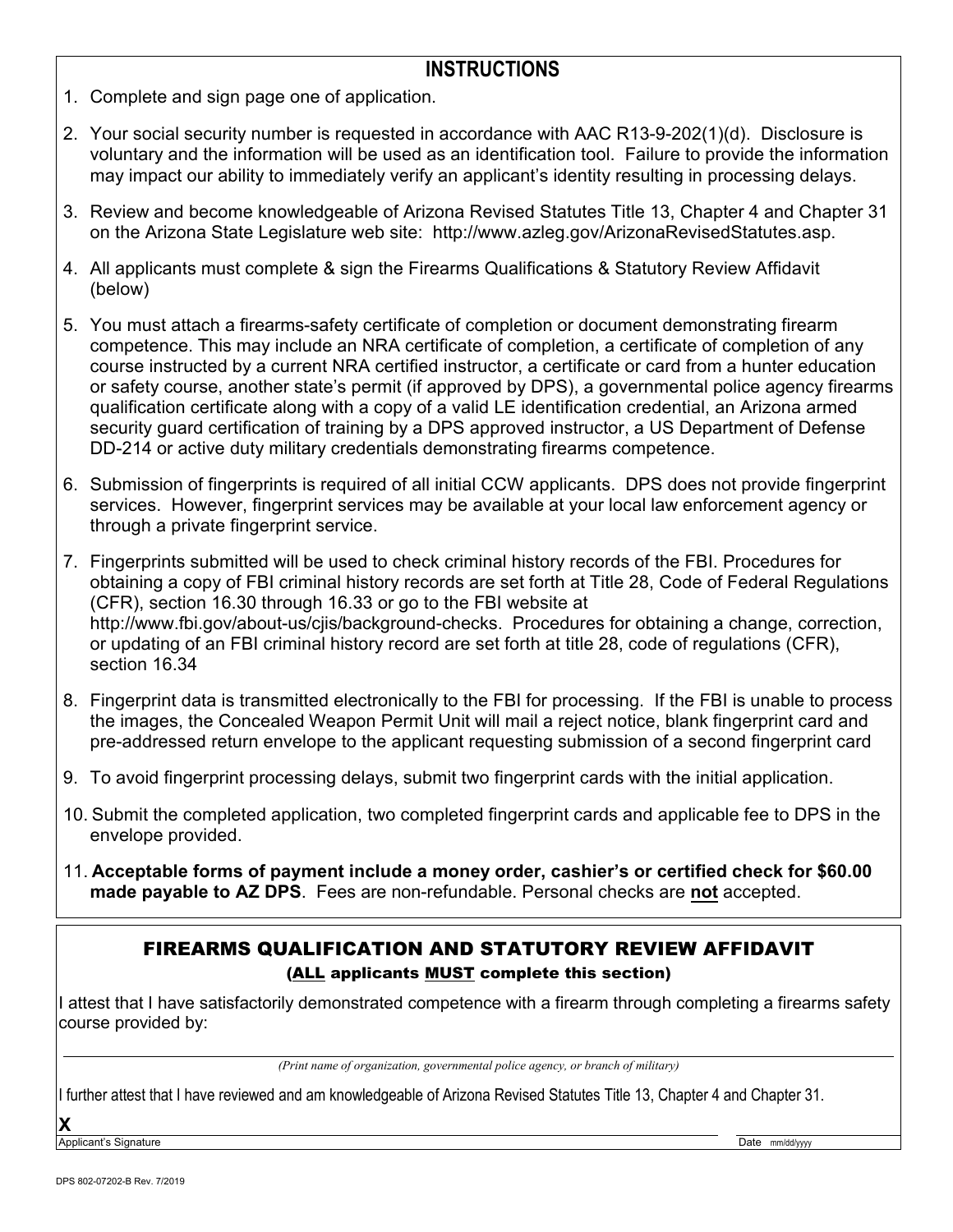#### **INSTRUCTIONS**

- 1. Complete and sign page one of application.
- 2. Your social security number is requested in accordance with AAC R13-9-202(1)(d). Disclosure is voluntary and the information will be used as an identification tool. Failure to provide the information may impact our ability to immediately verify an applicant's identity resulting in processing delays.
- 3. Review and become knowledgeable of Arizona Revised Statutes Title 13, Chapter 4 and Chapter 31 on the Arizona State Legislature web site: [http://www.azleg.gov/ArizonaRevisedStatutes.asp.](http://www.azleg.gov/ArizonaRevisedStatutes.asp)
- 4. All applicants must complete & sign the Firearms Qualifications & Statutory Review Affidavit (below)
- 5. You must attach a firearms-safety certificate of completion or document demonstrating firearm competence. This may include an NRA certificate of completion, a certificate of completion of any course instructed by a current NRA certified instructor, a certificate or card from a hunter education or safety course, another state's permit (if approved by DPS), a governmental police agency firearms qualification certificate along with a copy of a valid LE identification credential, an Arizona armed security guard certification of training by a DPS approved instructor, a US Department of Defense DD-214 or active duty military credentials demonstrating firearms competence.
- 6. Submission of fingerprints is required of all initial CCW applicants. DPS does not provide fingerprint services. However, fingerprint services may be available at your local law enforcement agency or through a private fingerprint service.
- 7. Fingerprints submitted will be used to check criminal history records of the FBI. Procedures for obtaining a copy of FBI criminal history records are set forth at Title 28, Code of Federal Regulations (CFR), section 16.30 through 16.33 or go to the FBI website at [http://www.fbi.gov/about-us/cjis/background-checks.](http://www.fbi.gov/about-us/cjis/background-checks) Procedures for obtaining a change, correction, or updating of an FBI criminal history record are set forth at title 28, code of regulations (CFR), section 16.34
- 8. Fingerprint data is transmitted electronically to the FBI for processing. If the FBI is unable to process the images, the Concealed Weapon Permit Unit will mail a reject notice, blank fingerprint card and pre-addressed return envelope to the applicant requesting submission of a second fingerprint card
- 9. To avoid fingerprint processing delays, submit two fingerprint cards with the initial application.
- 10. Submit the completed application, two completed fingerprint cards and applicable fee to DPS in the envelope provided.
- 11. **Acceptable forms of payment include a money order, cashier's or certified check for \$60.00 made payable to AZ DPS**. Fees are non-refundable. Personal checks are **not** accepted.

#### FIREARMS QUALIFICATION AND STATUTORY REVIEW AFFIDAVIT (ALL applicants MUST complete this section)

I attest that I have satisfactorily demonstrated competence with a firearm through completing a firearms safety course provided by:

*(Print name of organization, governmental police agency, or branch of military)*

I further attest that I have reviewed and am knowledgeable of Arizona Revised Statutes Title 13, Chapter 4 and Chapter 31.

**X**

Applicant's Signature **Date mm/dd/yyyy** and the control of the control of the control of the control of the control of the control of the control of the control of the control of the control of the control of the control o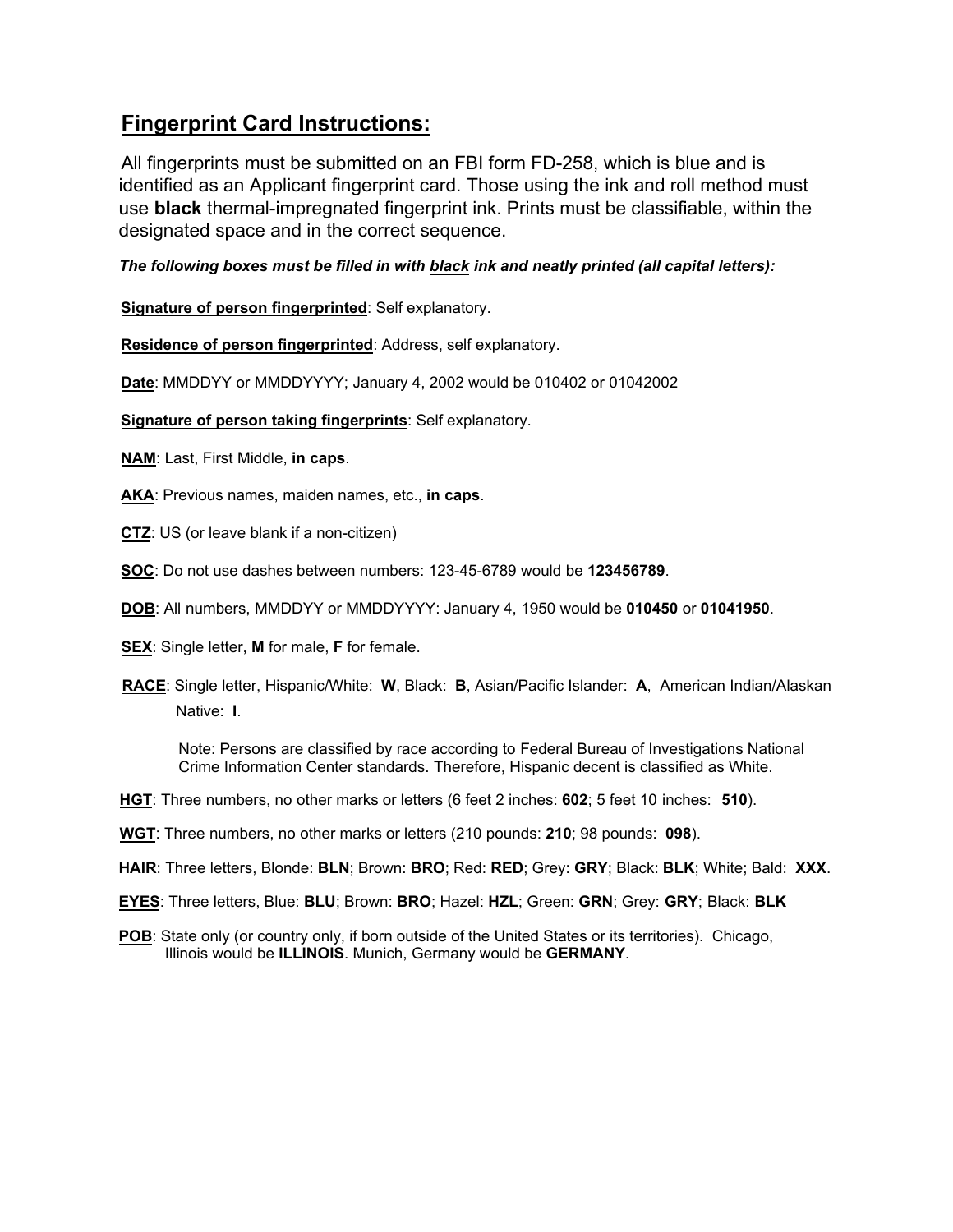### **Fingerprint Card Instructions:**

All fingerprints must be submitted on an FBI form FD-258, which is blue and is identified as an Applicant fingerprint card. Those using the ink and roll method must use **black** thermal-impregnated fingerprint ink. Prints must be classifiable, within the designated space and in the correct sequence.

*The following boxes must be filled in with black ink and neatly printed (all capital letters):*

**Signature of person fingerprinted**: Self explanatory.

**Residence of person fingerprinted**: Address, self explanatory.

**Date**: MMDDYY or MMDDYYYY; January 4, 2002 would be 010402 or 01042002

**Signature of person taking fingerprints**: Self explanatory.

**NAM**: Last, First Middle, **in caps**.

**AKA**: Previous names, maiden names, etc., **in caps**.

- **CTZ**: US (or leave blank if a non-citizen)
- **SOC**: Do not use dashes between numbers: 123-45-6789 would be **123456789**.
- **DOB**: All numbers, MMDDYY or MMDDYYYY: January 4, 1950 would be **010450** or **01041950**.
- **SEX**: Single letter, **M** for male, **F** for female.
- **RACE**: Single letter, Hispanic/White: **W**, Black: **B**, Asian/Pacific Islander: **A**, American Indian/Alaskan Native: **I**.

Note: Persons are classified by race according to Federal Bureau of Investigations National Crime Information Center standards. Therefore, Hispanic decent is classified as White.

- **HGT**: Three numbers, no other marks or letters (6 feet 2 inches: **602**; 5 feet 10 inches: **510**).
- **WGT**: Three numbers, no other marks or letters (210 pounds: **210**; 98 pounds: **098**).
- **HAIR**: Three letters, Blonde: **BLN**; Brown: **BRO**; Red: **RED**; Grey: **GRY**; Black: **BLK**; White; Bald: **XXX**.
- **EYES**: Three letters, Blue: **BLU**; Brown: **BRO**; Hazel: **HZL**; Green: **GRN**; Grey: **GRY**; Black: **BLK**
- **POB:** State only (or country only, if born outside of the United States or its territories). Chicago, Illinois would be **ILLINOIS**. Munich, Germany would be **GERMANY**.